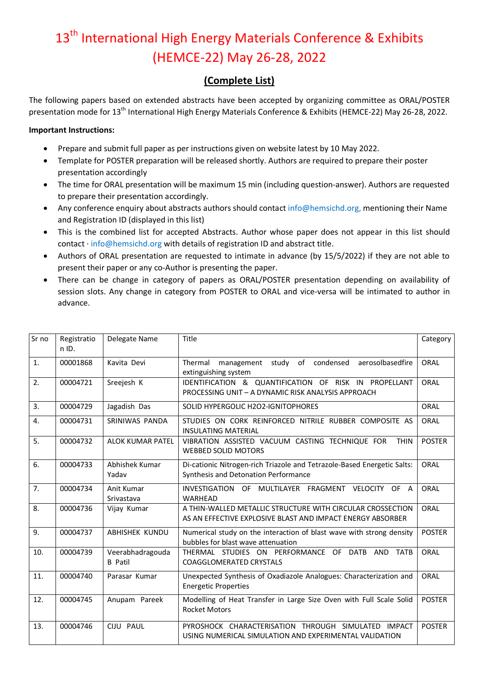## 13<sup>th</sup> International High Energy Materials Conference & Exhibits (HEMCE-22) May 26-28, 2022

## **(Complete List)**

The following papers based on extended abstracts have been accepted by organizing committee as ORAL/POSTER presentation mode for 13<sup>th</sup> International High Energy Materials Conference & Exhibits (HEMCE-22) May 26-28, 2022.

## **Important Instructions:**

- Prepare and submit full paper as per instructions given on website latest by 10 May 2022.
- Template for POSTER preparation will be released shortly. Authors are required to prepare their poster presentation accordingly
- The time for ORAL presentation will be maximum 15 min (including question-answer). Authors are requested to prepare their presentation accordingly.
- Any conference enquiry about abstracts authors should contact info@hemsichd.org, mentioning their Name and Registration ID (displayed in this list)
- This is the combined list for accepted Abstracts. Author whose paper does not appear in this list should contact · info@hemsichd.org with details of registration ID and abstract title.
- Authors of ORAL presentation are requested to intimate in advance (by 15/5/2022) if they are not able to present their paper or any co-Author is presenting the paper.
- There can be change in category of papers as ORAL/POSTER presentation depending on availability of session slots. Any change in category from POSTER to ORAL and vice-versa will be intimated to author in advance.

| Sr no | Registratio<br>$n$ ID. | Delegate Name                      | Title                                                                                                                    | Category      |
|-------|------------------------|------------------------------------|--------------------------------------------------------------------------------------------------------------------------|---------------|
| 1.    | 00001868               | Kavita Devi                        | management study of condensed<br>Thermal<br>aerosolbasedfire<br>extinguishing system                                     | ORAL          |
| 2.    | 00004721               | Sreejesh K                         | IDENTIFICATION & QUANTIFICATION OF RISK IN PROPELLANT<br>PROCESSING UNIT - A DYNAMIC RISK ANALYSIS APPROACH              | ORAL          |
| 3.    | 00004729               | Jagadish Das                       | SOLID HYPERGOLIC H2O2-IGNITOPHORES                                                                                       | ORAL          |
| 4.    | 00004731               | SRINIWAS PANDA                     | STUDIES ON CORK REINFORCED NITRILE RUBBER COMPOSITE AS<br><b>INSULATING MATERIAL</b>                                     | ORAL          |
| 5.    | 00004732               | ALOK KUMAR PATEL                   | VIBRATION ASSISTED VACUUM CASTING TECHNIQUE FOR<br><b>THIN</b><br><b>WEBBED SOLID MOTORS</b>                             | <b>POSTER</b> |
| 6.    | 00004733               | Abhishek Kumar<br>Yadav            | Di-cationic Nitrogen-rich Triazole and Tetrazole-Based Energetic Salts:<br>Synthesis and Detonation Performance          | ORAL          |
| 7.    | 00004734               | Anit Kumar<br>Srivastava           | INVESTIGATION OF MULTILAYER FRAGMENT VELOCITY OF A<br><b>WARHEAD</b>                                                     | ORAL          |
| 8.    | 00004736               | Vijay Kumar                        | A THIN-WALLED METALLIC STRUCTURE WITH CIRCULAR CROSSECTION<br>AS AN EFFECTIVE EXPLOSIVE BLAST AND IMPACT ENERGY ABSORBER | ORAL          |
| 9.    | 00004737               | <b>ABHISHEK KUNDU</b>              | Numerical study on the interaction of blast wave with strong density<br>bubbles for blast wave attenuation               | <b>POSTER</b> |
| 10.   | 00004739               | Veerabhadragouda<br><b>B</b> Patil | THERMAL STUDIES ON PERFORMANCE OF DATB AND TATB<br><b>COAGGLOMERATED CRYSTALS</b>                                        | ORAL          |
| 11.   | 00004740               | Parasar Kumar                      | Unexpected Synthesis of Oxadiazole Analogues: Characterization and<br><b>Energetic Properties</b>                        | ORAL          |
| 12.   | 00004745               | Anupam Pareek                      | Modelling of Heat Transfer in Large Size Oven with Full Scale Solid<br><b>Rocket Motors</b>                              | <b>POSTER</b> |
| 13.   | 00004746               | CIJU PAUL                          | PYROSHOCK CHARACTERISATION THROUGH SIMULATED IMPACT<br>USING NUMERICAL SIMULATION AND EXPERIMENTAL VALIDATION            | <b>POSTER</b> |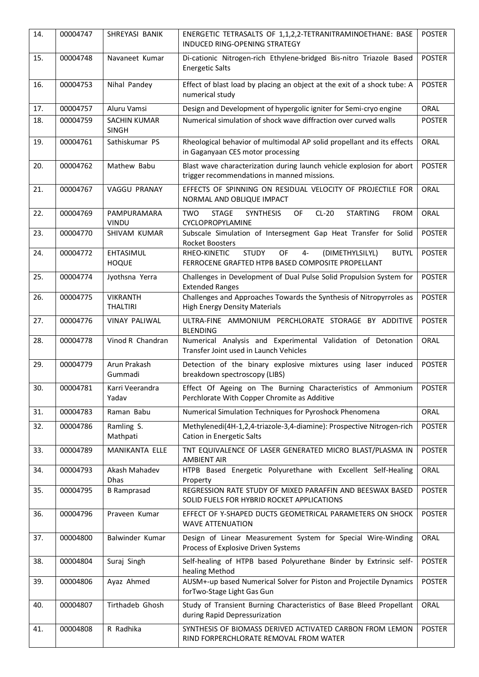| 14. | 00004747 | SHREYASI BANIK                     | ENERGETIC TETRASALTS OF 1,1,2,2-TETRANITRAMINOETHANE: BASE<br>INDUCED RING-OPENING STRATEGY                                        | <b>POSTER</b> |
|-----|----------|------------------------------------|------------------------------------------------------------------------------------------------------------------------------------|---------------|
| 15. | 00004748 | Navaneet Kumar                     | Di-cationic Nitrogen-rich Ethylene-bridged Bis-nitro Triazole Based<br><b>Energetic Salts</b>                                      | <b>POSTER</b> |
| 16. | 00004753 | Nihal Pandey                       | Effect of blast load by placing an object at the exit of a shock tube: A<br>numerical study                                        | <b>POSTER</b> |
| 17. | 00004757 | Aluru Vamsi                        | Design and Development of hypergolic igniter for Semi-cryo engine                                                                  | ORAL          |
| 18. | 00004759 | SACHIN KUMAR<br><b>SINGH</b>       | Numerical simulation of shock wave diffraction over curved walls                                                                   | <b>POSTER</b> |
| 19. | 00004761 | Sathiskumar PS                     | Rheological behavior of multimodal AP solid propellant and its effects<br>in Gaganyaan CES motor processing                        | <b>ORAL</b>   |
| 20. | 00004762 | Mathew Babu                        | Blast wave characterization during launch vehicle explosion for abort<br>trigger recommendations in manned missions.               | <b>POSTER</b> |
| 21. | 00004767 | <b>VAGGU PRANAY</b>                | EFFECTS OF SPINNING ON RESIDUAL VELOCITY OF PROJECTILE FOR<br>NORMAL AND OBLIQUE IMPACT                                            | ORAL          |
| 22. | 00004769 | PAMPURAMARA<br>VINDU               | $CL-20$<br><b>STARTING</b><br><b>TWO</b><br><b>STAGE</b><br><b>SYNTHESIS</b><br>OF<br><b>FROM</b><br>CYCLOPROPYLAMINE              | ORAL          |
| 23. | 00004770 | SHIVAM KUMAR                       | Subscale Simulation of Intersegment Gap Heat Transfer for Solid<br><b>Rocket Boosters</b>                                          | <b>POSTER</b> |
| 24. | 00004772 | EHTASIMUL<br><b>HOQUE</b>          | OF<br>RHEO-KINETIC<br><b>STUDY</b><br>$4-$<br>(DIMETHYLSILYL)<br><b>BUTYL</b><br>FERROCENE GRAFTED HTPB BASED COMPOSITE PROPELLANT | <b>POSTER</b> |
| 25. | 00004774 | Jyothsna Yerra                     | Challenges in Development of Dual Pulse Solid Propulsion System for<br><b>Extended Ranges</b>                                      | <b>POSTER</b> |
| 26. | 00004775 | <b>VIKRANTH</b><br><b>THALTIRI</b> | Challenges and Approaches Towards the Synthesis of Nitropyrroles as<br><b>High Energy Density Materials</b>                        | <b>POSTER</b> |
| 27. | 00004776 | <b>VINAY PALIWAL</b>               | ULTRA-FINE AMMONIUM PERCHLORATE STORAGE BY ADDITIVE<br><b>BLENDING</b>                                                             | <b>POSTER</b> |
| 28. | 00004778 | Vinod R Chandran                   | Numerical Analysis and Experimental Validation of Detonation<br>Transfer Joint used in Launch Vehicles                             | ORAL          |
| 29. | 00004779 | Arun Prakash<br>Gummadi            | Detection of the binary explosive mixtures using laser induced<br>breakdown spectroscopy (LIBS)                                    | <b>POSTER</b> |
| 30. | 00004781 | Karri Veerandra<br>Yadav           | Effect Of Ageing on The Burning Characteristics of Ammonium<br>Perchlorate With Copper Chromite as Additive                        | <b>POSTER</b> |
| 31. | 00004783 | Raman Babu                         | Numerical Simulation Techniques for Pyroshock Phenomena                                                                            | <b>ORAL</b>   |
| 32. | 00004786 | Ramling S.<br>Mathpati             | Methylenedi(4H-1,2,4-triazole-3,4-diamine): Prospective Nitrogen-rich<br><b>Cation in Energetic Salts</b>                          | <b>POSTER</b> |
| 33. | 00004789 | MANIKANTA ELLE                     | TNT EQUIVALENCE OF LASER GENERATED MICRO BLAST/PLASMA IN<br><b>AMBIENT AIR</b>                                                     | <b>POSTER</b> |
| 34. | 00004793 | Akash Mahadev<br>Dhas              | HTPB Based Energetic Polyurethane with Excellent Self-Healing<br>Property                                                          | ORAL          |
| 35. | 00004795 | <b>B</b> Ramprasad                 | REGRESSION RATE STUDY OF MIXED PARAFFIN AND BEESWAX BASED<br>SOLID FUELS FOR HYBRID ROCKET APPLICATIONS                            | <b>POSTER</b> |
| 36. | 00004796 | Praveen Kumar                      | EFFECT OF Y-SHAPED DUCTS GEOMETRICAL PARAMETERS ON SHOCK<br><b>WAVE ATTENUATION</b>                                                | <b>POSTER</b> |
| 37. | 00004800 | Balwinder Kumar                    | Design of Linear Measurement System for Special Wire-Winding<br>Process of Explosive Driven Systems                                | ORAL          |
| 38. | 00004804 | Suraj Singh                        | Self-healing of HTPB based Polyurethane Binder by Extrinsic self-<br>healing Method                                                | <b>POSTER</b> |
| 39. | 00004806 | Ayaz Ahmed                         | AUSM+-up based Numerical Solver for Piston and Projectile Dynamics<br>forTwo-Stage Light Gas Gun                                   | <b>POSTER</b> |
| 40. | 00004807 | Tirthadeb Ghosh                    | Study of Transient Burning Characteristics of Base Bleed Propellant<br>during Rapid Depressurization                               | ORAL          |
| 41. | 00004808 | R Radhika                          | SYNTHESIS OF BIOMASS DERIVED ACTIVATED CARBON FROM LEMON<br>RIND FORPERCHLORATE REMOVAL FROM WATER                                 | <b>POSTER</b> |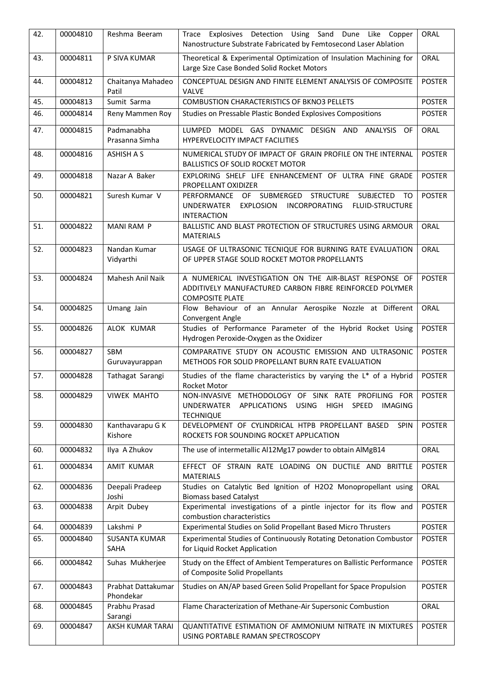| 42. | 00004810 | Reshma Beeram                       | Explosives Detection Using Sand Dune Like<br>Copper<br>Trace<br>Nanostructure Substrate Fabricated by Femtosecond Laser Ablation                                       | ORAL          |
|-----|----------|-------------------------------------|------------------------------------------------------------------------------------------------------------------------------------------------------------------------|---------------|
| 43. | 00004811 | P SIVA KUMAR                        | Theoretical & Experimental Optimization of Insulation Machining for<br>Large Size Case Bonded Solid Rocket Motors                                                      | ORAL          |
| 44. | 00004812 | Chaitanya Mahadeo<br>Patil          | CONCEPTUAL DESIGN AND FINITE ELEMENT ANALYSIS OF COMPOSITE<br><b>VALVE</b>                                                                                             | <b>POSTER</b> |
| 45. | 00004813 | Sumit Sarma                         | <b>COMBUSTION CHARACTERISTICS OF BKNO3 PELLETS</b>                                                                                                                     | <b>POSTER</b> |
| 46. | 00004814 | Reny Mammen Roy                     | Studies on Pressable Plastic Bonded Explosives Compositions                                                                                                            | <b>POSTER</b> |
| 47. | 00004815 | Padmanabha<br>Prasanna Simha        | LUMPED MODEL GAS DYNAMIC DESIGN AND ANALYSIS OF<br>HYPERVELOCITY IMPACT FACILITIES                                                                                     | ORAL          |
| 48. | 00004816 | <b>ASHISH A S</b>                   | NUMERICAL STUDY OF IMPACT OF GRAIN PROFILE ON THE INTERNAL<br><b>BALLISTICS OF SOLID ROCKET MOTOR</b>                                                                  | <b>POSTER</b> |
| 49. | 00004818 | Nazar A Baker                       | EXPLORING SHELF LIFE ENHANCEMENT OF ULTRA FINE GRADE<br>PROPELLANT OXIDIZER                                                                                            | <b>POSTER</b> |
| 50. | 00004821 | Suresh Kumar V                      | PERFORMANCE OF SUBMERGED STRUCTURE<br><b>SUBJECTED</b><br>T <sub>O</sub><br>UNDERWATER<br>EXPLOSION INCORPORATING<br><b>FLUID-STRUCTURE</b><br><b>INTERACTION</b>      | <b>POSTER</b> |
| 51. | 00004822 | <b>MANI RAM P</b>                   | BALLISTIC AND BLAST PROTECTION OF STRUCTURES USING ARMOUR<br><b>MATERIALS</b>                                                                                          | ORAL          |
| 52. | 00004823 | Nandan Kumar<br>Vidyarthi           | USAGE OF ULTRASONIC TECNIQUE FOR BURNING RATE EVALUATION<br>OF UPPER STAGE SOLID ROCKET MOTOR PROPELLANTS                                                              | ORAL          |
| 53. | 00004824 | Mahesh Anil Naik                    | A NUMERICAL INVESTIGATION ON THE AIR-BLAST RESPONSE OF<br>ADDITIVELY MANUFACTURED CARBON FIBRE REINFORCED POLYMER<br><b>COMPOSITE PLATE</b>                            | <b>POSTER</b> |
| 54. | 00004825 | Umang Jain                          | Flow Behaviour of an Annular Aerospike Nozzle at Different<br>Convergent Angle                                                                                         | ORAL          |
| 55. | 00004826 | ALOK KUMAR                          | Studies of Performance Parameter of the Hybrid Rocket Using<br>Hydrogen Peroxide-Oxygen as the Oxidizer                                                                | <b>POSTER</b> |
| 56. | 00004827 | <b>SBM</b><br>Guruvayurappan        | COMPARATIVE STUDY ON ACOUSTIC EMISSION AND ULTRASONIC<br>METHODS FOR SOLID PROPELLANT BURN RATE EVALUATION                                                             | <b>POSTER</b> |
| 57. | 00004828 | Tathagat Sarangi                    | Studies of the flame characteristics by varying the L* of a Hybrid<br>Rocket Motor                                                                                     | <b>POSTER</b> |
| 58. | 00004829 | <b>VIWEK MAHTO</b>                  | NON-INVASIVE METHODOLOGY OF SINK RATE PROFILING FOR<br><b>USING</b><br><b>HIGH</b><br>UNDERWATER<br>APPLICATIONS<br><b>SPEED</b><br><b>IMAGING</b><br><b>TECHNIQUE</b> | <b>POSTER</b> |
| 59. | 00004830 | Kanthavarapu G K<br>Kishore         | DEVELOPMENT OF CYLINDRICAL HTPB PROPELLANT BASED<br><b>SPIN</b><br>ROCKETS FOR SOUNDING ROCKET APPLICATION                                                             | <b>POSTER</b> |
| 60. | 00004832 | Ilya A Zhukov                       | The use of intermetallic Al12Mg17 powder to obtain AlMgB14                                                                                                             | ORAL          |
| 61. | 00004834 | AMIT KUMAR                          | EFFECT OF STRAIN RATE LOADING ON DUCTILE AND BRITTLE<br><b>MATERIALS</b>                                                                                               | <b>POSTER</b> |
| 62. | 00004836 | Deepali Pradeep<br>Joshi            | Studies on Catalytic Bed Ignition of H2O2 Monopropellant using<br><b>Biomass based Catalyst</b>                                                                        | ORAL          |
| 63. | 00004838 | Arpit Dubey                         | Experimental investigations of a pintle injector for its flow and<br>combustion characteristics                                                                        | <b>POSTER</b> |
| 64. | 00004839 | Lakshmi P                           | Experimental Studies on Solid Propellant Based Micro Thrusters                                                                                                         | <b>POSTER</b> |
| 65. | 00004840 | <b>SUSANTA KUMAR</b><br><b>SAHA</b> | Experimental Studies of Continuously Rotating Detonation Combustor<br>for Liquid Rocket Application                                                                    | <b>POSTER</b> |
| 66. | 00004842 | Suhas Mukherjee                     | Study on the Effect of Ambient Temperatures on Ballistic Performance<br>of Composite Solid Propellants                                                                 | <b>POSTER</b> |
| 67. | 00004843 | Prabhat Dattakumar<br>Phondekar     | Studies on AN/AP based Green Solid Propellant for Space Propulsion                                                                                                     | <b>POSTER</b> |
| 68. | 00004845 | Prabhu Prasad<br>Sarangi            | Flame Characterization of Methane-Air Supersonic Combustion                                                                                                            | ORAL          |
| 69. | 00004847 | AKSH KUMAR TARAI                    | QUANTITATIVE ESTIMATION OF AMMONIUM NITRATE IN MIXTURES<br>USING PORTABLE RAMAN SPECTROSCOPY                                                                           | <b>POSTER</b> |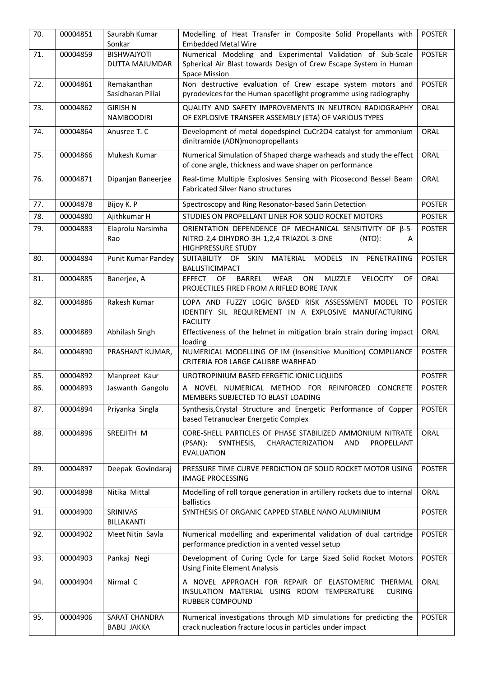| 70. | 00004851 | Saurabh Kumar<br>Sonkar              | Modelling of Heat Transfer in Composite Solid Propellants with<br><b>Embedded Metal Wire</b>                                                     | <b>POSTER</b> |
|-----|----------|--------------------------------------|--------------------------------------------------------------------------------------------------------------------------------------------------|---------------|
| 71. | 00004859 | <b>BISHWAJYOTI</b>                   | Numerical Modeling and Experimental Validation of Sub-Scale                                                                                      | <b>POSTER</b> |
|     |          | DUTTA MAJUMDAR                       | Spherical Air Blast towards Design of Crew Escape System in Human<br><b>Space Mission</b>                                                        |               |
| 72. | 00004861 | Remakanthan<br>Sasidharan Pillai     | Non destructive evaluation of Crew escape system motors and<br>pyrodevices for the Human spaceflight programme using radiography                 | <b>POSTER</b> |
| 73. | 00004862 | <b>GIRISH N</b><br><b>NAMBOODIRI</b> | QUALITY AND SAFETY IMPROVEMENTS IN NEUTRON RADIOGRAPHY<br>OF EXPLOSIVE TRANSFER ASSEMBLY (ETA) OF VARIOUS TYPES                                  | ORAL          |
| 74. | 00004864 | Anusree T. C                         | Development of metal dopedspinel CuCr2O4 catalyst for ammonium<br>dinitramide (ADN)monopropellants                                               | ORAL          |
| 75. | 00004866 | Mukesh Kumar                         | Numerical Simulation of Shaped charge warheads and study the effect<br>of cone angle, thickness and wave shaper on performance                   | ORAL          |
| 76. | 00004871 | Dipanjan Baneerjee                   | Real-time Multiple Explosives Sensing with Picosecond Bessel Beam<br><b>Fabricated Silver Nano structures</b>                                    | ORAL          |
| 77. | 00004878 | Bijoy K. P                           | Spectroscopy and Ring Resonator-based Sarin Detection                                                                                            | <b>POSTER</b> |
| 78. | 00004880 | Ajithkumar H                         | STUDIES ON PROPELLANT LINER FOR SOLID ROCKET MOTORS                                                                                              | <b>POSTER</b> |
| 79. | 00004883 | Elaprolu Narsimha<br>Rao             | ORIENTATION DEPENDENCE OF MECHANICAL SENSITIVITY OF ß-5-<br>NITRO-2,4-DIHYDRO-3H-1,2,4-TRIAZOL-3-ONE<br>(NTO):<br>A<br><b>HIGHPRESSURE STUDY</b> | <b>POSTER</b> |
| 80. | 00004884 | Punit Kumar Pandey                   | SUITABILITY OF SKIN MATERIAL MODELS IN<br>PENETRATING<br><b>BALLISTICIMPACT</b>                                                                  | <b>POSTER</b> |
| 81. | 00004885 | Banerjee, A                          | OF<br><b>BARREL</b><br><b>WEAR</b><br>ON<br>MUZZLE<br><b>VELOCITY</b><br><b>EFFECT</b><br>OF<br>PROJECTILES FIRED FROM A RIFLED BORE TANK        | ORAL          |
| 82. | 00004886 | Rakesh Kumar                         | LOPA AND FUZZY LOGIC BASED RISK ASSESSMENT MODEL TO<br>IDENTIFY SIL REQUIREMENT IN A EXPLOSIVE MANUFACTURING<br><b>FACILITY</b>                  | <b>POSTER</b> |
| 83. | 00004889 | Abhilash Singh                       | Effectiveness of the helmet in mitigation brain strain during impact<br>loading                                                                  | ORAL          |
| 84. | 00004890 | PRASHANT KUMAR,                      | NUMERICAL MODELLING OF IM (Insensitive Munition) COMPLIANCE<br>CRITERIA FOR LARGE CALIBRE WARHEAD                                                | <b>POSTER</b> |
| 85. | 00004892 | Manpreet Kaur                        | UROTROPINIUM BASED EERGETIC IONIC LIQUIDS                                                                                                        | <b>POSTER</b> |
| 86. | 00004893 | Jaswanth Gangolu                     | A NOVEL NUMERICAL METHOD FOR REINFORCED CONCRETE<br>MEMBERS SUBJECTED TO BLAST LOADING                                                           | <b>POSTER</b> |
| 87. | 00004894 | Priyanka Singla                      | Synthesis, Crystal Structure and Energetic Performance of Copper<br>based Tetranuclear Energetic Complex                                         | <b>POSTER</b> |
| 88. | 00004896 | SREEJITH M                           | CORE-SHELL PARTICLES OF PHASE STABILIZED AMMONIUM NITRATE<br>SYNTHESIS,<br>CHARACTERIZATION<br>PROPELLANT<br>(PSAN):<br>AND<br><b>EVALUATION</b> | <b>ORAL</b>   |
| 89. | 00004897 | Deepak Govindaraj                    | PRESSURE TIME CURVE PERDICTION OF SOLID ROCKET MOTOR USING<br><b>IMAGE PROCESSING</b>                                                            | <b>POSTER</b> |
| 90. | 00004898 | Nitika Mittal                        | Modelling of roll torque generation in artillery rockets due to internal<br>ballistics                                                           | ORAL          |
| 91. | 00004900 | SRINIVAS<br>BILLAKANTI               | SYNTHESIS OF ORGANIC CAPPED STABLE NANO ALUMINIUM                                                                                                | <b>POSTER</b> |
| 92. | 00004902 | Meet Nitin Savla                     | Numerical modelling and experimental validation of dual cartridge<br>performance prediction in a vented vessel setup                             | <b>POSTER</b> |
| 93. | 00004903 | Pankaj Negi                          | Development of Curing Cycle for Large Sized Solid Rocket Motors<br><b>Using Finite Element Analysis</b>                                          | <b>POSTER</b> |
| 94. | 00004904 | Nirmal C                             | A NOVEL APPROACH FOR REPAIR OF ELASTOMERIC THERMAL<br>INSULATION MATERIAL USING ROOM TEMPERATURE<br><b>CURING</b><br><b>RUBBER COMPOUND</b>      | <b>ORAL</b>   |
| 95. | 00004906 | SARAT CHANDRA<br><b>BABU JAKKA</b>   | Numerical investigations through MD simulations for predicting the<br>crack nucleation fracture locus in particles under impact                  | <b>POSTER</b> |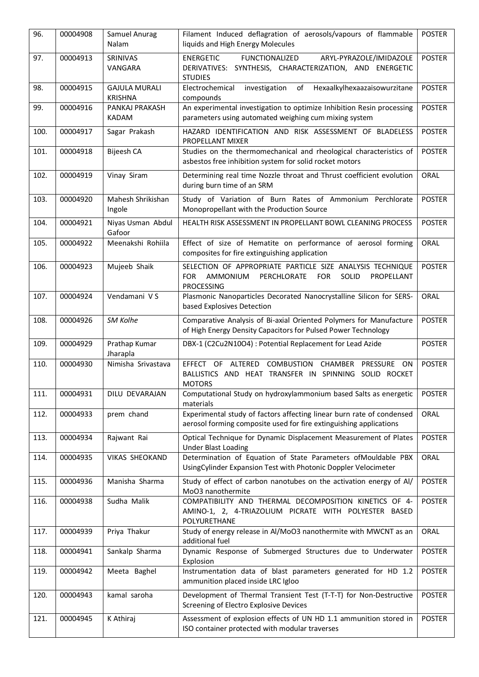| 96.  | 00004908 | Samuel Anurag<br>Nalam                 | Filament Induced deflagration of aerosols/vapours of flammable<br>liquids and High Energy Molecules                                                    | <b>POSTER</b> |
|------|----------|----------------------------------------|--------------------------------------------------------------------------------------------------------------------------------------------------------|---------------|
| 97.  | 00004913 | SRINIVAS<br>VANGARA                    | <b>ENERGETIC</b><br><b>FUNCTIONALIZED</b><br>ARYL-PYRAZOLE/IMIDAZOLE<br>DERIVATIVES: SYNTHESIS, CHARACTERIZATION, AND ENERGETIC<br><b>STUDIES</b>      | <b>POSTER</b> |
| 98.  | 00004915 | <b>GAJULA MURALI</b><br><b>KRISHNA</b> | investigation<br>of<br>Hexaalkylhexaazaisowurzitane<br>Electrochemical<br>compounds                                                                    | <b>POSTER</b> |
| 99.  | 00004916 | PANKAJ PRAKASH<br><b>KADAM</b>         | An experimental investigation to optimize Inhibition Resin processing<br>parameters using automated weighing cum mixing system                         | <b>POSTER</b> |
| 100. | 00004917 | Sagar Prakash                          | HAZARD IDENTIFICATION AND RISK ASSESSMENT OF BLADELESS<br>PROPELLANT MIXER                                                                             | <b>POSTER</b> |
| 101. | 00004918 | Bijeesh CA                             | Studies on the thermomechanical and rheological characteristics of<br>asbestos free inhibition system for solid rocket motors                          | <b>POSTER</b> |
| 102. | 00004919 | Vinay Siram                            | Determining real time Nozzle throat and Thrust coefficient evolution<br>during burn time of an SRM                                                     | ORAL          |
| 103. | 00004920 | Mahesh Shrikishan<br>Ingole            | Study of Variation of Burn Rates of Ammonium Perchlorate<br>Monopropellant with the Production Source                                                  | <b>POSTER</b> |
| 104. | 00004921 | Niyas Usman Abdul<br>Gafoor            | HEALTH RISK ASSESSMENT IN PROPELLANT BOWL CLEANING PROCESS                                                                                             | <b>POSTER</b> |
| 105. | 00004922 | Meenakshi Rohiila                      | Effect of size of Hematite on performance of aerosol forming<br>composites for fire extinguishing application                                          | ORAL          |
| 106. | 00004923 | Mujeeb Shaik                           | SELECTION OF APPROPRIATE PARTICLE SIZE ANALYSIS TECHNIQUE<br>PERCHLORATE<br><b>FOR</b><br>SOLID<br>FOR.<br>AMMONIUM<br>PROPELLANT<br><b>PROCESSING</b> | <b>POSTER</b> |
| 107. | 00004924 | Vendamani VS                           | Plasmonic Nanoparticles Decorated Nanocrystalline Silicon for SERS-<br>based Explosives Detection                                                      | ORAL          |
| 108. | 00004926 | SM Kolhe                               | Comparative Analysis of Bi-axial Oriented Polymers for Manufacture<br>of High Energy Density Capacitors for Pulsed Power Technology                    | <b>POSTER</b> |
| 109. | 00004929 | Prathap Kumar<br>Jharapla              | DBX-1 (C2Cu2N10O4) : Potential Replacement for Lead Azide                                                                                              | <b>POSTER</b> |
| 110. | 00004930 | Nimisha Srivastava                     | COMBUSTION CHAMBER PRESSURE ON<br>EFFECT OF ALTERED<br>BALLISTICS AND HEAT TRANSFER IN SPINNING SOLID ROCKET<br><b>MOTORS</b>                          | <b>POSTER</b> |
| 111. | 00004931 | DILU DEVARAJAN                         | Computational Study on hydroxylammonium based Salts as energetic<br>materials                                                                          | <b>POSTER</b> |
| 112. | 00004933 | prem chand                             | Experimental study of factors affecting linear burn rate of condensed<br>aerosol forming composite used for fire extinguishing applications            | <b>ORAL</b>   |
| 113. | 00004934 | Rajwant Rai                            | Optical Technique for Dynamic Displacement Measurement of Plates<br><b>Under Blast Loading</b>                                                         | <b>POSTER</b> |
| 114. | 00004935 | <b>VIKAS SHEOKAND</b>                  | Determination of Equation of State Parameters ofMouldable PBX<br>UsingCylinder Expansion Test with Photonic Doppler Velocimeter                        | <b>ORAL</b>   |
| 115. | 00004936 | Manisha Sharma                         | Study of effect of carbon nanotubes on the activation energy of Al/<br>MoO3 nanothermite                                                               | <b>POSTER</b> |
| 116. | 00004938 | Sudha Malik                            | COMPATIBILITY AND THERMAL DECOMPOSITION KINETICS OF 4-<br>AMINO-1, 2, 4-TRIAZOLIUM PICRATE WITH POLYESTER BASED<br>POLYURETHANE                        | <b>POSTER</b> |
| 117. | 00004939 | Priya Thakur                           | Study of energy release in Al/MoO3 nanothermite with MWCNT as an<br>additional fuel                                                                    | ORAL          |
| 118. | 00004941 | Sankalp Sharma                         | Dynamic Response of Submerged Structures due to Underwater<br>Explosion                                                                                | <b>POSTER</b> |
| 119. | 00004942 | Meeta Baghel                           | Instrumentation data of blast parameters generated for HD 1.2<br>ammunition placed inside LRC Igloo                                                    | <b>POSTER</b> |
| 120. | 00004943 | kamal saroha                           | Development of Thermal Transient Test (T-T-T) for Non-Destructive<br>Screening of Electro Explosive Devices                                            | <b>POSTER</b> |
| 121. | 00004945 | K Athiraj                              | Assessment of explosion effects of UN HD 1.1 ammunition stored in<br>ISO container protected with modular traverses                                    | <b>POSTER</b> |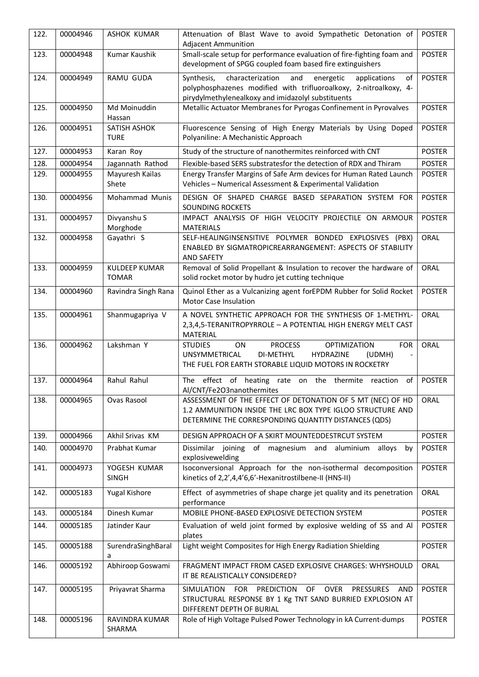| 122. | 00004946 | <b>ASHOK KUMAR</b>                   | Attenuation of Blast Wave to avoid Sympathetic Detonation of<br><b>Adjacent Ammunition</b>                                                                                                                  | <b>POSTER</b> |
|------|----------|--------------------------------------|-------------------------------------------------------------------------------------------------------------------------------------------------------------------------------------------------------------|---------------|
| 123. | 00004948 | Kumar Kaushik                        | Small-scale setup for performance evaluation of fire-fighting foam and<br>development of SPGG coupled foam based fire extinguishers                                                                         | <b>POSTER</b> |
| 124. | 00004949 | <b>RAMU GUDA</b>                     | characterization<br>and<br>energetic<br>applications<br>Synthesis,<br>οf<br>polyphosphazenes modified with trifluoroalkoxy, 2-nitroalkoxy, 4-<br>pirydylmethylenealkoxy and imidazolyl substituents         | <b>POSTER</b> |
| 125. | 00004950 | Md Moinuddin<br>Hassan               | Metallic Actuator Membranes for Pyrogas Confinement in Pyrovalves                                                                                                                                           | <b>POSTER</b> |
| 126. | 00004951 | SATISH ASHOK<br><b>TURE</b>          | Fluorescence Sensing of High Energy Materials by Using Doped<br>Polyaniline: A Mechanistic Approach                                                                                                         | <b>POSTER</b> |
| 127. | 00004953 | Karan Roy                            | Study of the structure of nanothermites reinforced with CNT                                                                                                                                                 | <b>POSTER</b> |
| 128. | 00004954 | Jagannath Rathod                     | Flexible-based SERS substratesfor the detection of RDX and Thiram                                                                                                                                           | <b>POSTER</b> |
| 129. | 00004955 | Mayuresh Kailas<br>Shete             | Energy Transfer Margins of Safe Arm devices for Human Rated Launch<br>Vehicles - Numerical Assessment & Experimental Validation                                                                             | <b>POSTER</b> |
| 130. | 00004956 | Mohammad Munis                       | DESIGN OF SHAPED CHARGE BASED SEPARATION SYSTEM FOR<br><b>SOUNDING ROCKETS</b>                                                                                                                              | <b>POSTER</b> |
| 131. | 00004957 | Divyanshu S<br>Morghode              | IMPACT ANALYSIS OF HIGH VELOCITY PROJECTILE ON ARMOUR<br><b>MATERIALS</b>                                                                                                                                   | <b>POSTER</b> |
| 132. | 00004958 | Gayathri S                           | SELF-HEALINGINSENSITIVE POLYMER BONDED EXPLOSIVES (PBX)<br>ENABLED BY SIGMATROPICREARRANGEMENT: ASPECTS OF STABILITY<br><b>AND SAFETY</b>                                                                   | ORAL          |
| 133. | 00004959 | <b>KULDEEP KUMAR</b><br><b>TOMAR</b> | Removal of Solid Propellant & Insulation to recover the hardware of<br>solid rocket motor by hudro jet cutting technique                                                                                    | ORAL          |
| 134. | 00004960 | Ravindra Singh Rana                  | Quinol Ether as a Vulcanizing agent forEPDM Rubber for Solid Rocket<br><b>Motor Case Insulation</b>                                                                                                         | <b>POSTER</b> |
| 135. | 00004961 | Shanmugapriya V                      | A NOVEL SYNTHETIC APPROACH FOR THE SYNTHESIS OF 1-METHYL-<br>2,3,4,5-TERANITROPYRROLE - A POTENTIAL HIGH ENERGY MELT CAST<br>MATERIAL                                                                       | ORAL          |
| 136. | 00004962 | Lakshman Y                           | <b>PROCESS</b><br><b>STUDIES</b><br>ON<br><b>OPTIMIZATION</b><br><b>FOR</b><br>DI-METHYL<br>HYDRAZINE<br>UNSYMMETRICAL<br>(UDMH)<br>$\overline{a}$<br>THE FUEL FOR EARTH STORABLE LIQUID MOTORS IN ROCKETRY | ORAL          |
| 137. | 00004964 | Rahul Rahul                          | The effect of heating rate on the thermite reaction<br>of<br>Al/CNT/Fe2O3nanothermites                                                                                                                      | <b>POSTER</b> |
| 138. | 00004965 | Ovas Rasool                          | ASSESSMENT OF THE EFFECT OF DETONATION OF 5 MT (NEC) OF HD<br>1.2 AMMUNITION INSIDE THE LRC BOX TYPE IGLOO STRUCTURE AND<br>DETERMINE THE CORRESPONDING QUANTITY DISTANCES (QDS)                            | ORAL          |
| 139. | 00004966 | Akhil Srivas KM                      | DESIGN APPROACH OF A SKIRT MOUNTEDDESTRCUT SYSTEM                                                                                                                                                           | <b>POSTER</b> |
| 140. | 00004970 | Prabhat Kumar                        | Dissimilar joining of magnesium and aluminium<br>alloys<br>by<br>explosivewelding                                                                                                                           | <b>POSTER</b> |
| 141. | 00004973 | YOGESH KUMAR<br><b>SINGH</b>         | Isoconversional Approach for the non-isothermal decomposition<br>kinetics of 2,2',4,4'6,6'-Hexanitrostilbene-II (HNS-II)                                                                                    | <b>POSTER</b> |
| 142. | 00005183 | Yugal Kishore                        | Effect of asymmetries of shape charge jet quality and its penetration<br>performance                                                                                                                        | ORAL          |
| 143. | 00005184 | Dinesh Kumar                         | MOBILE PHONE-BASED EXPLOSIVE DETECTION SYSTEM                                                                                                                                                               | <b>POSTER</b> |
| 144. | 00005185 | Jatinder Kaur                        | Evaluation of weld joint formed by explosive welding of SS and Al<br>plates                                                                                                                                 | <b>POSTER</b> |
| 145. | 00005188 | SurendraSinghBaral<br>a              | Light weight Composites for High Energy Radiation Shielding                                                                                                                                                 | <b>POSTER</b> |
| 146. | 00005192 | Abhiroop Goswami                     | FRAGMENT IMPACT FROM CASED EXPLOSIVE CHARGES: WHYSHOULD<br>IT BE REALISTICALLY CONSIDERED?                                                                                                                  | ORAL          |
| 147. | 00005195 | Priyavrat Sharma                     | <b>PRESSURES</b><br>SIMULATION<br>FOR PREDICTION<br>OF OVER<br>AND<br>STRUCTURAL RESPONSE BY 1 Kg TNT SAND BURRIED EXPLOSION AT<br>DIFFERENT DEPTH OF BURIAL                                                | <b>POSTER</b> |
| 148. | 00005196 | RAVINDRA KUMAR<br>SHARMA             | Role of High Voltage Pulsed Power Technology in kA Current-dumps                                                                                                                                            | <b>POSTER</b> |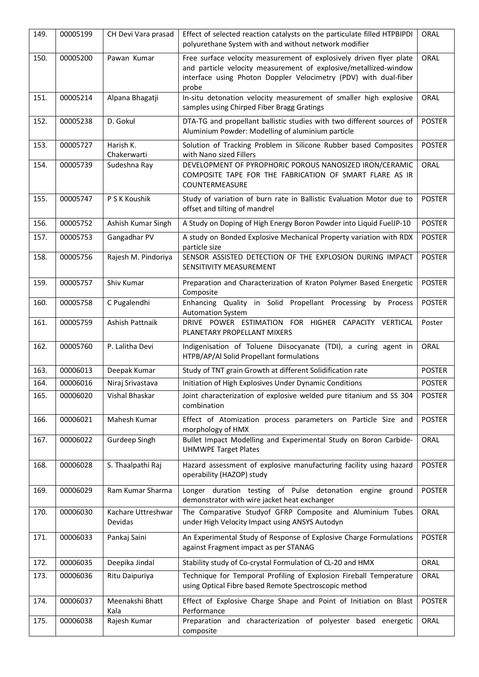| 149. | 00005199 | CH Devi Vara prasad           | Effect of selected reaction catalysts on the particulate filled HTPBIPDI<br>polyurethane System with and without network modifier                                                                                    | ORAL          |
|------|----------|-------------------------------|----------------------------------------------------------------------------------------------------------------------------------------------------------------------------------------------------------------------|---------------|
| 150. | 00005200 | Pawan Kumar                   | Free surface velocity measurement of explosively driven flyer plate<br>and particle velocity measurement of explosive/metallized-window<br>interface using Photon Doppler Velocimetry (PDV) with dual-fiber<br>probe | ORAL          |
| 151. | 00005214 | Alpana Bhagatji               | In-situ detonation velocity measurement of smaller high explosive<br>samples using Chirped Fiber Bragg Gratings                                                                                                      | <b>ORAL</b>   |
| 152. | 00005238 | D. Gokul                      | DTA-TG and propellant ballistic studies with two different sources of<br>Aluminium Powder: Modelling of aluminium particle                                                                                           | <b>POSTER</b> |
| 153. | 00005727 | Harish K.<br>Chakerwarti      | Solution of Tracking Problem in Silicone Rubber based Composites<br>with Nano sized Fillers                                                                                                                          | <b>POSTER</b> |
| 154. | 00005739 | Sudeshna Ray                  | DEVELOPMENT OF PYROPHORIC POROUS NANOSIZED IRON/CERAMIC<br>COMPOSITE TAPE FOR THE FABRICATION OF SMART FLARE AS IR<br>COUNTERMEASURE                                                                                 | ORAL          |
| 155. | 00005747 | P S K Koushik                 | Study of variation of burn rate in Ballistic Evaluation Motor due to<br>offset and tilting of mandrel                                                                                                                | <b>POSTER</b> |
| 156. | 00005752 | Ashish Kumar Singh            | A Study on Doping of High Energy Boron Powder into Liquid FuelJP-10                                                                                                                                                  | <b>POSTER</b> |
| 157. | 00005753 | Gangadhar PV                  | A study on Bonded Explosive Mechanical Property variation with RDX<br>particle size                                                                                                                                  | <b>POSTER</b> |
| 158. | 00005756 | Rajesh M. Pindoriya           | SENSOR ASSISTED DETECTION OF THE EXPLOSION DURING IMPACT<br>SENSITIVITY MEASUREMENT                                                                                                                                  | <b>POSTER</b> |
| 159. | 00005757 | Shiv Kumar                    | Preparation and Characterization of Kraton Polymer Based Energetic<br>Composite                                                                                                                                      | <b>POSTER</b> |
| 160. | 00005758 | C Pugalendhi                  | Enhancing Quality in Solid Propellant Processing by Process<br><b>Automation System</b>                                                                                                                              | <b>POSTER</b> |
| 161. | 00005759 | Ashish Pattnaik               | DRIVE POWER ESTIMATION FOR HIGHER CAPACITY VERTICAL<br>PLANETARY PROPELLANT MIXERS                                                                                                                                   | Poster        |
| 162. | 00005760 | P. Lalitha Devi               | Indigenisation of Toluene Diisocyanate (TDI), a curing agent in<br>HTPB/AP/AI Solid Propellant formulations                                                                                                          | ORAL          |
| 163. | 00006013 | Deepak Kumar                  | Study of TNT grain Growth at different Solidification rate                                                                                                                                                           | <b>POSTER</b> |
| 164. | 00006016 | Niraj Srivastava              | Initiation of High Explosives Under Dynamic Conditions                                                                                                                                                               | <b>POSTER</b> |
| 165. | 00006020 | Vishal Bhaskar                | Joint characterization of explosive welded pure titanium and SS 304<br>combination                                                                                                                                   | <b>POSTER</b> |
| 166. | 00006021 | Mahesh Kumar                  | Effect of Atomization process parameters on Particle Size and<br>morphology of HMX                                                                                                                                   | <b>POSTER</b> |
| 167. | 00006022 | Gurdeep Singh                 | Bullet Impact Modelling and Experimental Study on Boron Carbide-<br><b>UHMWPE Target Plates</b>                                                                                                                      | ORAL          |
| 168. | 00006028 | S. Thaalpathi Raj             | Hazard assessment of explosive manufacturing facility using hazard<br>operability (HAZOP) study                                                                                                                      | <b>POSTER</b> |
| 169. | 00006029 | Ram Kumar Sharma              | Longer duration testing of Pulse detonation engine ground<br>demonstrator with wire jacket heat exchanger                                                                                                            | <b>POSTER</b> |
| 170. | 00006030 | Kachare Uttreshwar<br>Devidas | The Comparative Studyof GFRP Composite and Aluminium Tubes<br>under High Velocity Impact using ANSYS Autodyn                                                                                                         | ORAL          |
| 171. | 00006033 | Pankaj Saini                  | An Experimental Study of Response of Explosive Charge Formulations<br>against Fragment impact as per STANAG                                                                                                          | <b>POSTER</b> |
| 172. | 00006035 | Deepika Jindal                | Stability study of Co-crystal Formulation of CL-20 and HMX                                                                                                                                                           | ORAL          |
| 173. | 00006036 | Ritu Daipuriya                | Technique for Temporal Profiling of Explosion Fireball Temperature<br>using Optical Fibre based Remote Spectroscopic method                                                                                          | ORAL          |
| 174. | 00006037 | Meenakshi Bhatt<br>Kala       | Effect of Explosive Charge Shape and Point of Initiation on Blast<br>Performance                                                                                                                                     | <b>POSTER</b> |
| 175. | 00006038 | Rajesh Kumar                  | Preparation and characterization of polyester based energetic<br>composite                                                                                                                                           | ORAL          |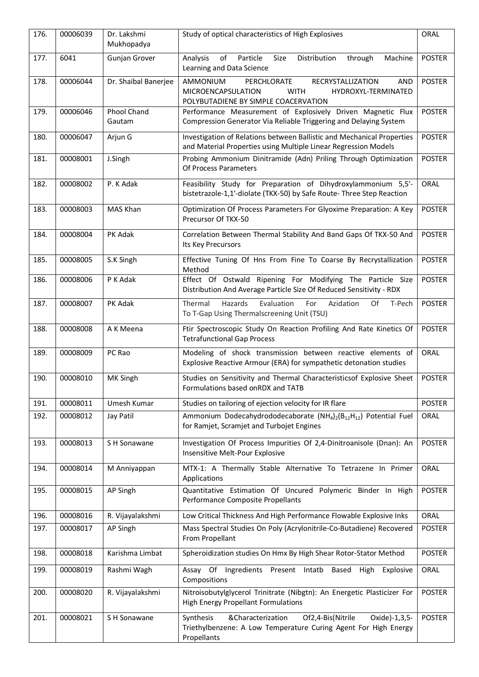| 176. | 00006039 | Dr. Lakshmi<br>Mukhopadya    | Study of optical characteristics of High Explosives                                                                                                                   | ORAL          |
|------|----------|------------------------------|-----------------------------------------------------------------------------------------------------------------------------------------------------------------------|---------------|
| 177. | 6041     | Gunjan Grover                | Size<br>Distribution<br>Analysis<br>of<br>Particle<br>through<br>Machine<br>Learning and Data Science                                                                 | <b>POSTER</b> |
| 178. | 00006044 | Dr. Shaibal Banerjee         | AMMONIUM<br><b>RECRYSTALLIZATION</b><br>PERCHLORATE<br><b>AND</b><br>MICROENCAPSULATION<br><b>WITH</b><br>HYDROXYL-TERMINATED<br>POLYBUTADIENE BY SIMPLE COACERVATION | <b>POSTER</b> |
| 179. | 00006046 | <b>Phool Chand</b><br>Gautam | Performance Measurement of Explosively Driven Magnetic Flux<br>Compression Generator Via Reliable Triggering and Delaying System                                      | <b>POSTER</b> |
| 180. | 00006047 | Arjun G                      | Investigation of Relations between Ballistic and Mechanical Properties<br>and Material Properties using Multiple Linear Regression Models                             | <b>POSTER</b> |
| 181. | 00008001 | J.Singh                      | Probing Ammonium Dinitramide (Adn) Priling Through Optimization<br>Of Process Parameters                                                                              | <b>POSTER</b> |
| 182. | 00008002 | P. K Adak                    | Feasibility Study for Preparation of Dihydroxylammonium 5,5'-<br>bistetrazole-1,1'-diolate (TKX-50) by Safe Route- Three Step Reaction                                | ORAL          |
| 183. | 00008003 | MAS Khan                     | Optimization Of Process Parameters For Glyoxime Preparation: A Key<br>Precursor Of TKX-50                                                                             | <b>POSTER</b> |
| 184. | 00008004 | PK Adak                      | Correlation Between Thermal Stability And Band Gaps Of TKX-50 And<br>Its Key Precursors                                                                               | <b>POSTER</b> |
| 185. | 00008005 | S.K Singh                    | Effective Tuning Of Hns From Fine To Coarse By Recrystallization<br>Method                                                                                            | <b>POSTER</b> |
| 186. | 00008006 | P K Adak                     | Effect Of Ostwald Ripening For Modifying The Particle Size<br>Distribution And Average Particle Size Of Reduced Sensitivity - RDX                                     | <b>POSTER</b> |
| 187. | 00008007 | PK Adak                      | Thermal<br>Hazards<br>Evaluation<br>For<br>Azidation<br>Of<br>T-Pech<br>To T-Gap Using Thermalscreening Unit (TSU)                                                    | <b>POSTER</b> |
| 188. | 00008008 | A K Meena                    | Ftir Spectroscopic Study On Reaction Profiling And Rate Kinetics Of<br><b>Tetrafunctional Gap Process</b>                                                             | <b>POSTER</b> |
| 189. | 00008009 | PC Rao                       | Modeling of shock transmission between reactive elements of<br>Explosive Reactive Armour (ERA) for sympathetic detonation studies                                     | ORAL          |
| 190. | 00008010 | MK Singh                     | Studies on Sensitivity and Thermal Characteristicsof Explosive Sheet<br>Formulations based onRDX and TATB                                                             | <b>POSTER</b> |
| 191. | 00008011 | Umesh Kumar                  | Studies on tailoring of ejection velocity for IR flare                                                                                                                | <b>POSTER</b> |
| 192. | 00008012 | Jay Patil                    | Ammonium Dodecahydrododecaborate $(NH_4)_2(B_{12}H_{12})$ Potential Fuel<br>for Ramjet, Scramjet and Turbojet Engines                                                 | ORAL          |
| 193. | 00008013 | S H Sonawane                 | Investigation Of Process Impurities Of 2,4-Dinitroanisole (Dnan): An<br>Insensitive Melt-Pour Explosive                                                               | <b>POSTER</b> |
| 194. | 00008014 | M Anniyappan                 | MTX-1: A Thermally Stable Alternative To Tetrazene In Primer<br>Applications                                                                                          | ORAL          |
| 195. | 00008015 | <b>AP Singh</b>              | Quantitative Estimation Of Uncured Polymeric Binder In High<br>Performance Composite Propellants                                                                      | <b>POSTER</b> |
| 196. | 00008016 | R. Vijayalakshmi             | Low Critical Thickness And High Performance Flowable Explosive Inks                                                                                                   | ORAL          |
| 197. | 00008017 | AP Singh                     | Mass Spectral Studies On Poly (Acrylonitrile-Co-Butadiene) Recovered<br>From Propellant                                                                               | <b>POSTER</b> |
| 198. | 00008018 | Karishma Limbat              | Spheroidization studies On Hmx By High Shear Rotor-Stator Method                                                                                                      | <b>POSTER</b> |
| 199. | 00008019 | Rashmi Wagh                  | Assay Of Ingredients Present Intatb<br>Based<br>High<br>Explosive<br>Compositions                                                                                     | ORAL          |
| 200. | 00008020 | R. Vijayalakshmi             | Nitroisobutylglycerol Trinitrate (Nibgtn): An Energetic Plasticizer For<br><b>High Energy Propellant Formulations</b>                                                 | <b>POSTER</b> |
| 201. | 00008021 | S H Sonawane                 | &Characterization<br>Of2,4-Bis(Nitrile<br>Oxide)-1,3,5-<br>Synthesis<br>Triethylbenzene: A Low Temperature Curing Agent For High Energy<br>Propellants                | <b>POSTER</b> |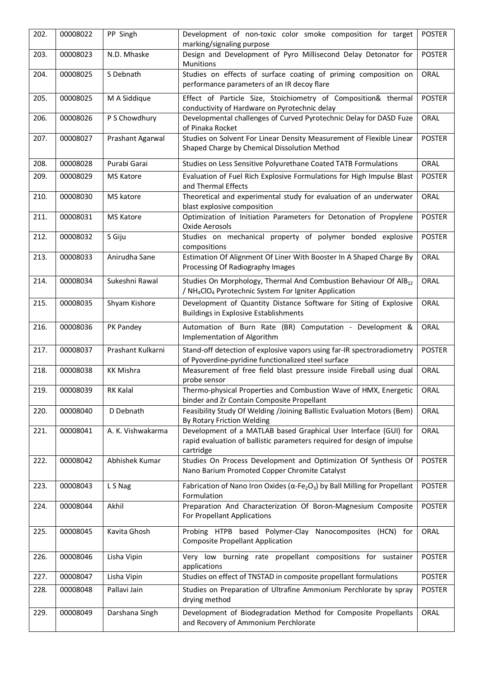| 202. | 00008022 | PP Singh          | Development of non-toxic color smoke composition for target<br>marking/signaling purpose                                                                      | <b>POSTER</b> |
|------|----------|-------------------|---------------------------------------------------------------------------------------------------------------------------------------------------------------|---------------|
| 203. | 00008023 | N.D. Mhaske       | Design and Development of Pyro Millisecond Delay Detonator for<br>Munitions                                                                                   | <b>POSTER</b> |
| 204. | 00008025 | S Debnath         | Studies on effects of surface coating of priming composition on<br>performance parameters of an IR decoy flare                                                | <b>ORAL</b>   |
| 205. | 00008025 | M A Siddique      | Effect of Particle Size, Stoichiometry of Composition& thermal<br>conductivity of Hardware on Pyrotechnic delay                                               | <b>POSTER</b> |
| 206. | 00008026 | P S Chowdhury     | Developmental challenges of Curved Pyrotechnic Delay for DASD Fuze<br>of Pinaka Rocket                                                                        | ORAL          |
| 207. | 00008027 | Prashant Agarwal  | Studies on Solvent For Linear Density Measurement of Flexible Linear<br>Shaped Charge by Chemical Dissolution Method                                          | <b>POSTER</b> |
| 208. | 00008028 | Purabi Garai      | Studies on Less Sensitive Polyurethane Coated TATB Formulations                                                                                               | <b>ORAL</b>   |
| 209. | 00008029 | <b>MS Katore</b>  | Evaluation of Fuel Rich Explosive Formulations for High Impulse Blast<br>and Thermal Effects                                                                  | <b>POSTER</b> |
| 210. | 00008030 | MS katore         | Theoretical and experimental study for evaluation of an underwater<br>blast explosive composition                                                             | <b>ORAL</b>   |
| 211. | 00008031 | <b>MS Katore</b>  | Optimization of Initiation Parameters for Detonation of Propylene<br>Oxide Aerosols                                                                           | <b>POSTER</b> |
| 212. | 00008032 | S Giju            | Studies on mechanical property of polymer bonded explosive<br>compositions                                                                                    | <b>POSTER</b> |
| 213. | 00008033 | Anirudha Sane     | Estimation Of Alignment Of Liner With Booster In A Shaped Charge By<br>Processing Of Radiography Images                                                       | ORAL          |
| 214. | 00008034 | Sukeshni Rawal    | Studies On Morphology, Thermal And Combustion Behaviour Of AlB <sub>12</sub><br>/ NH <sub>4</sub> ClO <sub>4</sub> Pyrotechnic System For Igniter Application | ORAL          |
| 215. | 00008035 | Shyam Kishore     | Development of Quantity Distance Software for Siting of Explosive<br><b>Buildings in Explosive Establishments</b>                                             | <b>ORAL</b>   |
| 216. | 00008036 | PK Pandey         | Automation of Burn Rate (BR) Computation - Development &<br>Implementation of Algorithm                                                                       | ORAL          |
| 217. | 00008037 | Prashant Kulkarni | Stand-off detection of explosive vapors using far-IR spectroradiometry<br>of Pyoverdine-pyridine functionalized steel surface                                 | <b>POSTER</b> |
| 218. | 00008038 | <b>KK Mishra</b>  | Measurement of free field blast pressure inside Fireball using dual<br>probe sensor                                                                           | <b>ORAL</b>   |
| 219. | 00008039 | RK Kalal          | Thermo-physical Properties and Combustion Wave of HMX, Energetic<br>binder and Zr Contain Composite Propellant                                                | ORAL          |
| 220. | 00008040 | D Debnath         | Feasibility Study Of Welding /Joining Ballistic Evaluation Motors (Bem)<br>By Rotary Friction Welding                                                         | ORAL          |
| 221. | 00008041 | A. K. Vishwakarma | Development of a MATLAB based Graphical User Interface (GUI) for<br>rapid evaluation of ballistic parameters required for design of impulse<br>cartridge      | <b>ORAL</b>   |
| 222. | 00008042 | Abhishek Kumar    | Studies On Process Development and Optimization Of Synthesis Of<br>Nano Barium Promoted Copper Chromite Catalyst                                              | <b>POSTER</b> |
| 223. | 00008043 | L S Nag           | Fabrication of Nano Iron Oxides ( $\alpha$ -Fe <sub>2</sub> O <sub>3</sub> ) by Ball Milling for Propellant<br>Formulation                                    | <b>POSTER</b> |
| 224. | 00008044 | Akhil             | Preparation And Characterization Of Boron-Magnesium Composite<br>For Propellant Applications                                                                  | <b>POSTER</b> |
| 225. | 00008045 | Kavita Ghosh      | Probing HTPB based Polymer-Clay Nanocomposites (HCN) for<br><b>Composite Propellant Application</b>                                                           | ORAL          |
| 226. | 00008046 | Lisha Vipin       | Very low burning rate propellant compositions for sustainer<br>applications                                                                                   | <b>POSTER</b> |
| 227. | 00008047 | Lisha Vipin       | Studies on effect of TNSTAD in composite propellant formulations                                                                                              | <b>POSTER</b> |
| 228. | 00008048 | Pallavi Jain      | Studies on Preparation of Ultrafine Ammonium Perchlorate by spray<br>drying method                                                                            | <b>POSTER</b> |
| 229. | 00008049 | Darshana Singh    | Development of Biodegradation Method for Composite Propellants<br>and Recovery of Ammonium Perchlorate                                                        | ORAL          |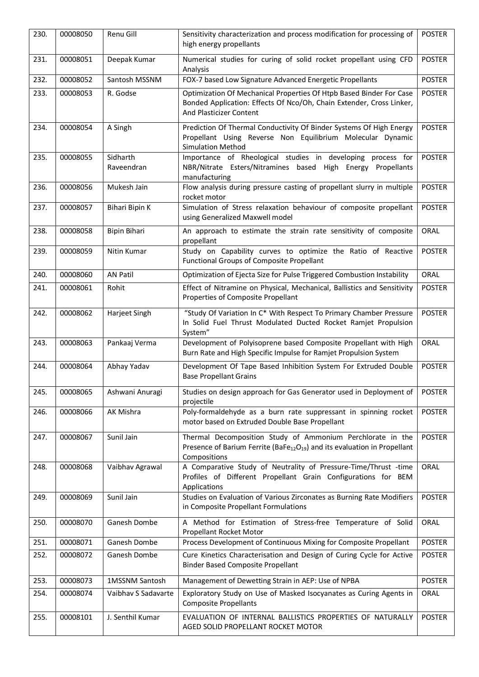| 230. | 00008050 | Renu Gill              | Sensitivity characterization and process modification for processing of<br>high energy propellants                                                                     | <b>POSTER</b> |
|------|----------|------------------------|------------------------------------------------------------------------------------------------------------------------------------------------------------------------|---------------|
| 231. | 00008051 | Deepak Kumar           | Numerical studies for curing of solid rocket propellant using CFD<br>Analysis                                                                                          | <b>POSTER</b> |
| 232. | 00008052 | Santosh MSSNM          | FOX-7 based Low Signature Advanced Energetic Propellants                                                                                                               | <b>POSTER</b> |
| 233. | 00008053 | R. Godse               | Optimization Of Mechanical Properties Of Htpb Based Binder For Case<br>Bonded Application: Effects Of Nco/Oh, Chain Extender, Cross Linker,<br>And Plasticizer Content | <b>POSTER</b> |
| 234. | 00008054 | A Singh                | Prediction Of Thermal Conductivity Of Binder Systems Of High Energy<br>Propellant Using Reverse Non Equilibrium Molecular Dynamic<br><b>Simulation Method</b>          | <b>POSTER</b> |
| 235. | 00008055 | Sidharth<br>Raveendran | Importance of Rheological studies in developing process for<br>NBR/Nitrate Esters/Nitramines based High Energy Propellants<br>manufacturing                            | <b>POSTER</b> |
| 236. | 00008056 | Mukesh Jain            | Flow analysis during pressure casting of propellant slurry in multiple<br>rocket motor                                                                                 | <b>POSTER</b> |
| 237. | 00008057 | Bihari Bipin K         | Simulation of Stress relaxation behaviour of composite propellant<br>using Generalized Maxwell model                                                                   | <b>POSTER</b> |
| 238. | 00008058 | Bipin Bihari           | An approach to estimate the strain rate sensitivity of composite<br>propellant                                                                                         | ORAL          |
| 239. | 00008059 | Nitin Kumar            | Study on Capability curves to optimize the Ratio of Reactive<br>Functional Groups of Composite Propellant                                                              | <b>POSTER</b> |
| 240. | 00008060 | <b>AN Patil</b>        | Optimization of Ejecta Size for Pulse Triggered Combustion Instability                                                                                                 | ORAL          |
| 241. | 00008061 | Rohit                  | Effect of Nitramine on Physical, Mechanical, Ballistics and Sensitivity<br>Properties of Composite Propellant                                                          | <b>POSTER</b> |
| 242. | 00008062 | Harjeet Singh          | "Study Of Variation In C* With Respect To Primary Chamber Pressure<br>In Solid Fuel Thrust Modulated Ducted Rocket Ramjet Propulsion<br>System"                        | <b>POSTER</b> |
| 243. | 00008063 | Pankaaj Verma          | Development of Polyisoprene based Composite Propellant with High<br>Burn Rate and High Specific Impulse for Ramjet Propulsion System                                   | ORAL          |
| 244. | 00008064 | Abhay Yadav            | Development Of Tape Based Inhibition System For Extruded Double<br><b>Base Propellant Grains</b>                                                                       | <b>POSTER</b> |
| 245. | 00008065 | Ashwani Anuragi        | Studies on design approach for Gas Generator used in Deployment of<br>projectile                                                                                       | <b>POSTER</b> |
| 246. | 00008066 | AK Mishra              | Poly-formaldehyde as a burn rate suppressant in spinning rocket<br>motor based on Extruded Double Base Propellant                                                      | <b>POSTER</b> |
| 247. | 00008067 | Sunil Jain             | Thermal Decomposition Study of Ammonium Perchlorate in the<br>Presence of Barium Ferrite (BaFe $_{12}O_{19}$ ) and its evaluation in Propellant<br>Compositions        | <b>POSTER</b> |
| 248. | 00008068 | Vaibhav Agrawal        | A Comparative Study of Neutrality of Pressure-Time/Thrust -time<br>Profiles of Different Propellant Grain Configurations for BEM<br>Applications                       | ORAL          |
| 249. | 00008069 | Sunil Jain             | Studies on Evaluation of Various Zirconates as Burning Rate Modifiers<br>in Composite Propellant Formulations                                                          | <b>POSTER</b> |
| 250. | 00008070 | Ganesh Dombe           | A Method for Estimation of Stress-free Temperature of Solid<br>Propellant Rocket Motor                                                                                 | ORAL          |
| 251. | 00008071 | Ganesh Dombe           | Process Development of Continuous Mixing for Composite Propellant                                                                                                      | <b>POSTER</b> |
| 252. | 00008072 | Ganesh Dombe           | Cure Kinetics Characterisation and Design of Curing Cycle for Active<br><b>Binder Based Composite Propellant</b>                                                       | <b>POSTER</b> |
| 253. | 00008073 | 1MSSNM Santosh         | Management of Dewetting Strain in AEP: Use of NPBA                                                                                                                     | <b>POSTER</b> |
| 254. | 00008074 | Vaibhav S Sadavarte    | Exploratory Study on Use of Masked Isocyanates as Curing Agents in<br><b>Composite Propellants</b>                                                                     | ORAL          |
| 255. | 00008101 | J. Senthil Kumar       | EVALUATION OF INTERNAL BALLISTICS PROPERTIES OF NATURALLY<br>AGED SOLID PROPELLANT ROCKET MOTOR                                                                        | <b>POSTER</b> |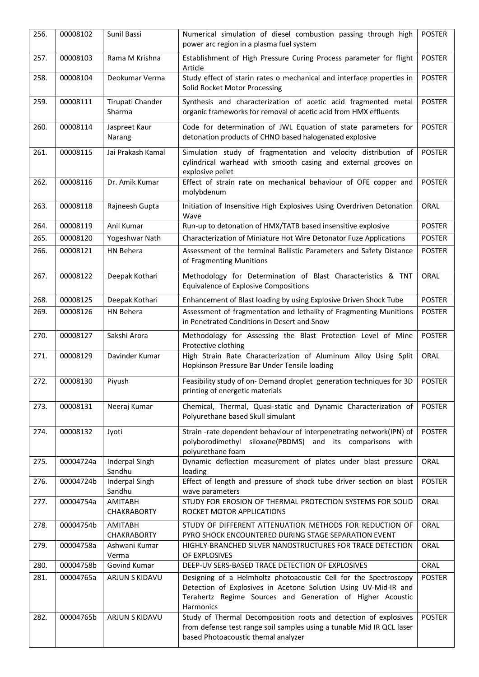| 256. | 00008102  | Sunil Bassi                          | Numerical simulation of diesel combustion passing through high<br>power arc region in a plasma fuel system                                                                                                     | <b>POSTER</b> |
|------|-----------|--------------------------------------|----------------------------------------------------------------------------------------------------------------------------------------------------------------------------------------------------------------|---------------|
| 257. | 00008103  | Rama M Krishna                       | Establishment of High Pressure Curing Process parameter for flight<br>Article                                                                                                                                  | <b>POSTER</b> |
| 258. | 00008104  | Deokumar Verma                       | Study effect of starin rates o mechanical and interface properties in<br>Solid Rocket Motor Processing                                                                                                         | <b>POSTER</b> |
| 259. | 00008111  | Tirupati Chander<br>Sharma           | Synthesis and characterization of acetic acid fragmented metal<br>organic frameworks for removal of acetic acid from HMX effluents                                                                             | <b>POSTER</b> |
| 260. | 00008114  | Jaspreet Kaur<br>Narang              | Code for determination of JWL Equation of state parameters for<br>detonation products of CHNO based halogenated explosive                                                                                      | <b>POSTER</b> |
| 261. | 00008115  | Jai Prakash Kamal                    | Simulation study of fragmentation and velocity distribution of<br>cylindrical warhead with smooth casing and external grooves on<br>explosive pellet                                                           | <b>POSTER</b> |
| 262. | 00008116  | Dr. Amik Kumar                       | Effect of strain rate on mechanical behaviour of OFE copper and<br>molybdenum                                                                                                                                  | <b>POSTER</b> |
| 263. | 00008118  | Rajneesh Gupta                       | Initiation of Insensitive High Explosives Using Overdriven Detonation<br>Wave                                                                                                                                  | ORAL          |
| 264. | 00008119  | Anil Kumar                           | Run-up to detonation of HMX/TATB based insensitive explosive                                                                                                                                                   | <b>POSTER</b> |
| 265. | 00008120  | Yogeshwar Nath                       | Characterization of Miniature Hot Wire Detonator Fuze Applications                                                                                                                                             | <b>POSTER</b> |
| 266. | 00008121  | HN Behera                            | Assessment of the terminal Ballistic Parameters and Safety Distance<br>of Fragmenting Munitions                                                                                                                | <b>POSTER</b> |
| 267. | 00008122  | Deepak Kothari                       | Methodology for Determination of Blast Characteristics & TNT<br><b>Equivalence of Explosive Compositions</b>                                                                                                   | ORAL          |
| 268. | 00008125  | Deepak Kothari                       | Enhancement of Blast loading by using Explosive Driven Shock Tube                                                                                                                                              | <b>POSTER</b> |
| 269. | 00008126  | HN Behera                            | Assessment of fragmentation and lethality of Fragmenting Munitions<br>in Penetrated Conditions in Desert and Snow                                                                                              | <b>POSTER</b> |
| 270. | 00008127  | Sakshi Arora                         | Methodology for Assessing the Blast Protection Level of Mine<br>Protective clothing                                                                                                                            | <b>POSTER</b> |
| 271. | 00008129  | Davinder Kumar                       | High Strain Rate Characterization of Aluminum Alloy Using Split<br>Hopkinson Pressure Bar Under Tensile loading                                                                                                | ORAL          |
| 272. | 00008130  | Piyush                               | Feasibility study of on- Demand droplet generation techniques for 3D<br>printing of energetic materials                                                                                                        | <b>POSTER</b> |
| 273. | 00008131  | Neeraj Kumar                         | Chemical, Thermal, Quasi-static and Dynamic Characterization of<br>Polyurethane based Skull simulant                                                                                                           | <b>POSTER</b> |
| 274. | 00008132  | Jyoti                                | Strain-rate dependent behaviour of interpenetrating network(IPN) of<br>polyborodimethyl siloxane(PBDMS) and its comparisons with<br>polyurethane foam                                                          | <b>POSTER</b> |
| 275. | 00004724a | <b>Inderpal Singh</b><br>Sandhu      | Dynamic deflection measurement of plates under blast pressure<br>loading                                                                                                                                       | ORAL          |
| 276. | 00004724b | <b>Inderpal Singh</b><br>Sandhu      | Effect of length and pressure of shock tube driver section on blast<br>wave parameters                                                                                                                         | <b>POSTER</b> |
| 277. | 00004754a | <b>AMITABH</b><br><b>CHAKRABORTY</b> | STUDY FOR EROSION OF THERMAL PROTECTION SYSTEMS FOR SOLID<br>ROCKET MOTOR APPLICATIONS                                                                                                                         | ORAL          |
| 278. | 00004754b | <b>AMITABH</b><br><b>CHAKRABORTY</b> | STUDY OF DIFFERENT ATTENUATION METHODS FOR REDUCTION OF<br>PYRO SHOCK ENCOUNTERED DURING STAGE SEPARATION EVENT                                                                                                | ORAL          |
| 279. | 00004758a | Ashwani Kumar<br>Verma               | HIGHLY-BRANCHED SILVER NANOSTRUCTURES FOR TRACE DETECTION<br>OF EXPLOSIVES                                                                                                                                     | ORAL          |
| 280. | 00004758b | Govind Kumar                         | DEEP-UV SERS-BASED TRACE DETECTION OF EXPLOSIVES                                                                                                                                                               | ORAL          |
| 281. | 00004765a | ARJUN S KIDAVU                       | Designing of a Helmholtz photoacoustic Cell for the Spectroscopy<br>Detection of Explosives in Acetone Solution Using UV-Mid-IR and<br>Terahertz Regime Sources and Generation of Higher Acoustic<br>Harmonics | <b>POSTER</b> |
| 282. | 00004765b | ARJUN S KIDAVU                       | Study of Thermal Decomposition roots and detection of explosives<br>from defense test range soil samples using a tunable Mid IR QCL laser<br>based Photoacoustic themal analyzer                               | <b>POSTER</b> |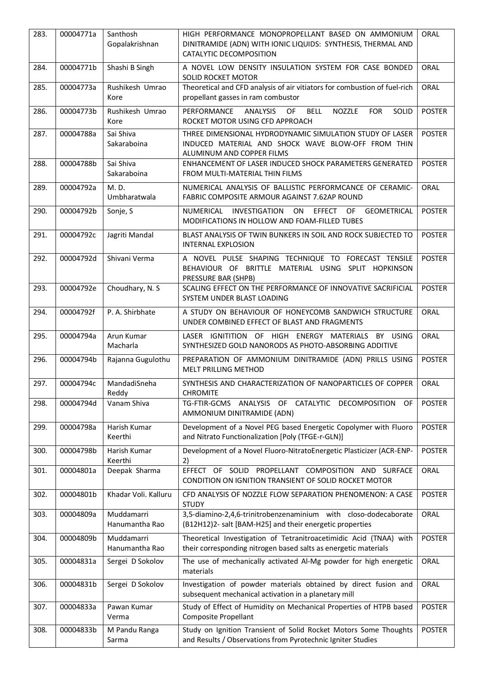| 283. | 00004771a | Santhosh<br>Gopalakrishnan   | HIGH PERFORMANCE MONOPROPELLANT BASED ON AMMONIUM<br>DINITRAMIDE (ADN) WITH IONIC LIQUIDS: SYNTHESIS, THERMAL AND<br>CATALYTIC DECOMPOSITION | ORAL          |
|------|-----------|------------------------------|----------------------------------------------------------------------------------------------------------------------------------------------|---------------|
| 284. | 00004771b | Shashi B Singh               | A NOVEL LOW DENSITY INSULATION SYSTEM FOR CASE BONDED<br><b>SOLID ROCKET MOTOR</b>                                                           | ORAL          |
| 285. | 00004773a | Rushikesh Umrao<br>Kore      | Theoretical and CFD analysis of air vitiators for combustion of fuel-rich<br>propellant gasses in ram combustor                              | <b>ORAL</b>   |
| 286. | 00004773b | Rushikesh Umrao<br>Kore      | PERFORMANCE<br>OF<br><b>BELL</b><br>NOZZLE<br><b>FOR</b><br>SOLID<br><b>ANALYSIS</b><br>ROCKET MOTOR USING CFD APPROACH                      | <b>POSTER</b> |
| 287. | 00004788a | Sai Shiva<br>Sakaraboina     | THREE DIMENSIONAL HYDRODYNAMIC SIMULATION STUDY OF LASER<br>INDUCED MATERIAL AND SHOCK WAVE BLOW-OFF FROM THIN<br>ALUMINUM AND COPPER FILMS  | <b>POSTER</b> |
| 288. | 00004788b | Sai Shiva<br>Sakaraboina     | ENHANCEMENT OF LASER INDUCED SHOCK PARAMETERS GENERATED<br>FROM MULTI-MATERIAL THIN FILMS                                                    | <b>POSTER</b> |
| 289. | 00004792a | M.D.<br>Umbharatwala         | NUMERICAL ANALYSIS OF BALLISTIC PERFORMCANCE OF CERAMIC-<br>FABRIC COMPOSITE ARMOUR AGAINST 7.62AP ROUND                                     | ORAL          |
| 290. | 00004792b | Sonje, S                     | NUMERICAL INVESTIGATION<br>ON<br>EFFECT OF GEOMETRICAL<br>MODIFICATIONS IN HOLLOW AND FOAM-FILLED TUBES                                      | <b>POSTER</b> |
| 291. | 00004792c | Jagriti Mandal               | BLAST ANALYSIS OF TWIN BUNKERS IN SOIL AND ROCK SUBJECTED TO<br><b>INTERNAL EXPLOSION</b>                                                    | <b>POSTER</b> |
| 292. | 00004792d | Shivani Verma                | A NOVEL PULSE SHAPING TECHNIQUE TO FORECAST TENSILE<br>BEHAVIOUR OF BRITTLE MATERIAL USING SPLIT HOPKINSON<br>PRESSURE BAR (SHPB)            | <b>POSTER</b> |
| 293. | 00004792e | Choudhary, N. S              | SCALING EFFECT ON THE PERFORMANCE OF INNOVATIVE SACRIFICIAL<br>SYSTEM UNDER BLAST LOADING                                                    | <b>POSTER</b> |
| 294. | 00004792f | P. A. Shirbhate              | A STUDY ON BEHAVIOUR OF HONEYCOMB SANDWICH STRUCTURE<br>UNDER COMBINED EFFECT OF BLAST AND FRAGMENTS                                         | ORAL          |
| 295. | 00004794a | Arun Kumar<br>Macharla       | LASER IGNITITION OF HIGH ENERGY MATERIALS<br>BY USING<br>SYNTHESIZED GOLD NANORODS AS PHOTO-ABSORBING ADDITIVE                               | ORAL          |
| 296. | 00004794b | Rajanna Gugulothu            | PREPARATION OF AMMONIUM DINITRAMIDE (ADN) PRILLS USING<br>MELT PRILLING METHOD                                                               | <b>POSTER</b> |
| 297. | 00004794c | MandadiSneha<br>Reddy        | SYNTHESIS AND CHARACTERIZATION OF NANOPARTICLES OF COPPER<br><b>CHROMITE</b>                                                                 | ORAL          |
| 298. | 00004794d | Vanam Shiva                  | TG-FTIR-GCMS<br>ANALYSIS<br>OF CATALYTIC<br><b>OF</b><br><b>DECOMPOSITION</b><br>AMMONIUM DINITRAMIDE (ADN)                                  | <b>POSTER</b> |
| 299. | 00004798a | Harish Kumar<br>Keerthi      | Development of a Novel PEG based Energetic Copolymer with Fluoro<br>and Nitrato Functionalization [Poly (TFGE-r-GLN)]                        | <b>POSTER</b> |
| 300. | 00004798b | Harish Kumar<br>Keerthi      | Development of a Novel Fluoro-NitratoEnergetic Plasticizer (ACR-ENP-<br>2)                                                                   | <b>POSTER</b> |
| 301. | 00004801a | Deepak Sharma                | EFFECT OF SOLID PROPELLANT COMPOSITION AND SURFACE<br>CONDITION ON IGNITION TRANSIENT OF SOLID ROCKET MOTOR                                  | ORAL          |
| 302. | 00004801b | Khadar Voli. Kalluru         | CFD ANALYSIS OF NOZZLE FLOW SEPARATION PHENOMENON: A CASE<br><b>STUDY</b>                                                                    | <b>POSTER</b> |
| 303. | 00004809a | Muddamarri<br>Hanumantha Rao | 3,5-diamino-2,4,6-trinitrobenzenaminium with closo-dodecaborate<br>(B12H12)2- salt [BAM-H25] and their energetic properties                  | ORAL          |
| 304. | 00004809b | Muddamarri<br>Hanumantha Rao | Theoretical Investigation of Tetranitroacetimidic Acid (TNAA) with<br>their corresponding nitrogen based salts as energetic materials        | <b>POSTER</b> |
| 305. | 00004831a | Sergei D Sokolov             | The use of mechanically activated Al-Mg powder for high energetic<br>materials                                                               | ORAL          |
| 306. | 00004831b | Sergei D Sokolov             | Investigation of powder materials obtained by direct fusion and<br>subsequent mechanical activation in a planetary mill                      | ORAL          |
| 307. | 00004833a | Pawan Kumar<br>Verma         | Study of Effect of Humidity on Mechanical Properties of HTPB based<br>Composite Propellant                                                   | <b>POSTER</b> |
| 308. | 00004833b | M Pandu Ranga<br>Sarma       | Study on Ignition Transient of Solid Rocket Motors Some Thoughts<br>and Results / Observations from Pyrotechnic Igniter Studies              | <b>POSTER</b> |